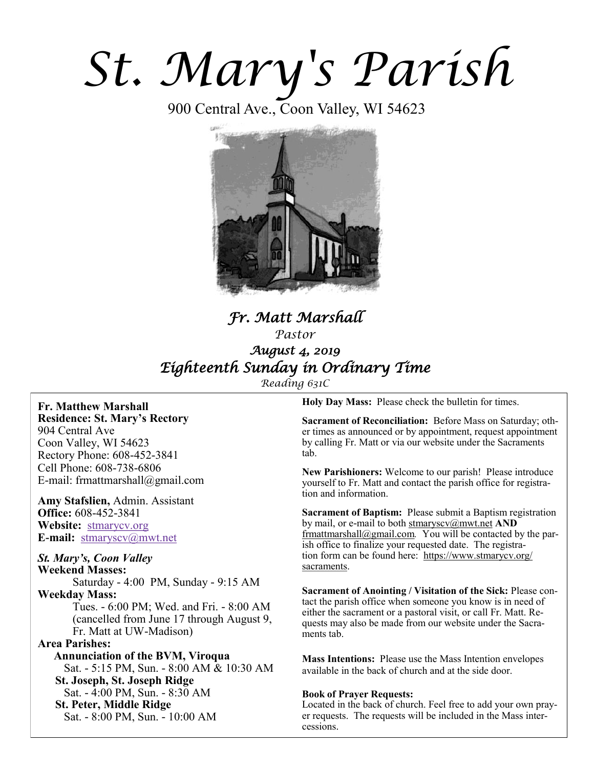# *St. Mary's Parish*

900 Central Ave., Coon Valley, WI 54623



# *Fr. Matt Marshall Pastor August 4, 2019 Eighteenth Sunday in Ordinary Time*

*Reading 631C* 

### **Fr. Matthew Marshall Residence: St. Mary's Rectory** 904 Central Ave Coon Valley, WI 54623 Rectory Phone: 608-452-3841 Cell Phone: 608-738-6806 E-mail: frmattmarshall@gmail.com

**Amy Stafslien,** Admin. Assistant **Office:** 608-452-3841 **Website:** <stmarycv.org> **E-mail:** [stmaryscv@mwt.net](mailto:stmaryscv@mwt.net)

## *St. Mary's, Coon Valley*

**Weekend Masses:** Saturday - 4:00 PM, Sunday - 9:15 AM **Weekday Mass:**  Tues. - 6:00 PM; Wed. and Fri. - 8:00 AM (cancelled from June 17 through August 9, Fr. Matt at UW-Madison) **Area Parishes:**

 **Annunciation of the BVM, Viroqua** Sat. - 5:15 PM, Sun. - 8:00 AM & 10:30 AM **St. Joseph, St. Joseph Ridge** Sat. - 4:00 PM, Sun. - 8:30 AM **St. Peter, Middle Ridge** Sat. - 8:00 PM, Sun. - 10:00 AM

**Holy Day Mass:** Please check the bulletin for times.

**Sacrament of Reconciliation:** Before Mass on Saturday; other times as announced or by appointment, request appointment by calling Fr. Matt or via our website under the Sacraments tab.

**New Parishioners:** Welcome to our parish! Please introduce yourself to Fr. Matt and contact the parish office for registration and information.

**Sacrament of Baptism:** Please submit a Baptism registration by mail, or e-mail to both [stmaryscv@mwt.net](mailto:stmaryscv@mwt.net) **AND** [frmattmarshall@gmail.com](mailto:frmattmarshall@gmail.com)*.* You will be contacted by the parish office to finalize your requested date. The registration form can be found here: [https://www.stmarycv.org/](https://www.stmarycv.org/sacraments) [sacraments.](https://www.stmarycv.org/sacraments) 

**Sacrament of Anointing / Visitation of the Sick:** Please contact the parish office when someone you know is in need of either the sacrament or a pastoral visit, or call Fr. Matt. Requests may also be made from our website under the Sacraments tab.

**Mass Intentions:** Please use the Mass Intention envelopes available in the back of church and at the side door.

#### **Book of Prayer Requests:**

Located in the back of church. Feel free to add your own prayer requests. The requests will be included in the Mass intercessions.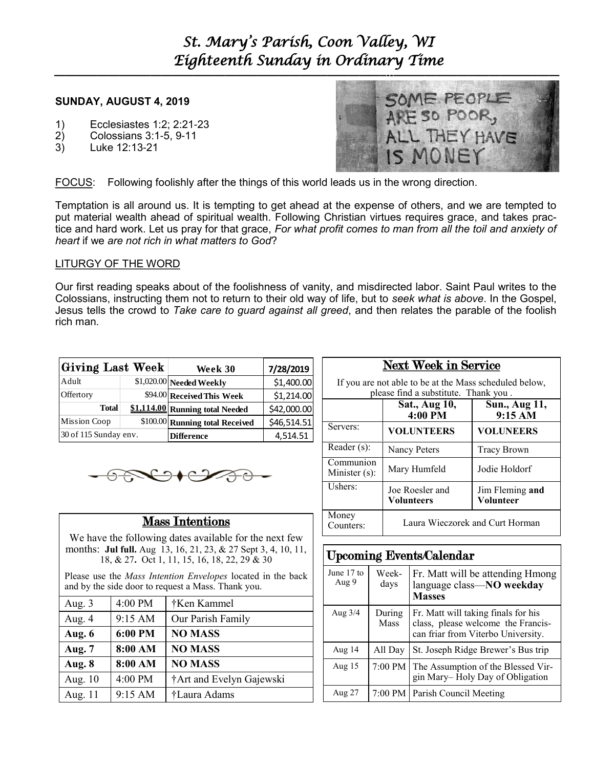# *St. Mary's Parish, Coon Valley, WI Eighteenth Sunday in Ordinary Time*

### **SUNDAY, AUGUST 4, 2019**

- 1) Ecclesiastes 1:2; 2:21-23
- 2) Colossians 3:1-5, 9-11
- 3) Luke 12:13-21



FOCUS: Following foolishly after the things of this world leads us in the wrong direction.

Temptation is all around us. It is tempting to get ahead at the expense of others, and we are tempted to put material wealth ahead of spiritual wealth. Following Christian virtues requires grace, and takes practice and hard work. Let us pray for that grace, *For what profit comes to man from all the toil and anxiety of heart* if we *are not rich in what matters to God*?

#### LITURGY OF THE WORD

Our first reading speaks about of the foolishness of vanity, and misdirected labor. Saint Paul writes to the Colossians, instructing them not to return to their old way of life, but to *seek what is above*. In the Gospel, Jesus tells the crowd to *Take care to guard against all greed*, and then relates the parable of the foolish rich man.

| Giving Last Week      |  | Week 30                         | 7/28/2019   |
|-----------------------|--|---------------------------------|-------------|
| Adult                 |  | $$1,020.00$ Needed Weekly       | \$1,400.00  |
| Offertory             |  | \$94.00 Received This Week      | \$1,214.00  |
| <b>Total</b>          |  | \$1,114.00 Running total Needed | \$42,000.00 |
| Mission Coop          |  | \$100.00 Running total Received | \$46,514.51 |
| 30 of 115 Sunday env. |  | <b>Difference</b>               | 4,514.51    |



## Mass Intentions

We have the following dates available for the next few months: **Jul full.** Aug 13, 16, 21, 23, & 27 Sept 3, 4, 10, 11, 18, & 27**.** Oct 1, 11, 15, 16, 18, 22, 29 & 30

Please use the *Mass Intention Envelopes* located in the back and by the side door to request a Mass. Thank you.

| Aug. 3        | 4:00 PM | †Ken Kammel              |
|---------------|---------|--------------------------|
| Aug. 4        | 9:15 AM | Our Parish Family        |
| Aug. 6        | 6:00 PM | <b>NO MASS</b>           |
| <b>Aug. 7</b> | 8:00 AM | <b>NO MASS</b>           |
| Aug. 8        | 8:00 AM | <b>NO MASS</b>           |
| Aug. 10       | 4:00 PM | †Art and Evelyn Gajewski |
| Aug. 11       | 9:15 AM | †Laura Adams             |

| <b>Next Week in Service</b>                                                                    |                                      |                              |  |  |  |
|------------------------------------------------------------------------------------------------|--------------------------------------|------------------------------|--|--|--|
| If you are not able to be at the Mass scheduled below,<br>please find a substitute. Thank you. |                                      |                              |  |  |  |
|                                                                                                | Sat., Aug 10,<br>4:00 P <sub>M</sub> | Sun., Aug 11,<br>9:15 AM     |  |  |  |
| Servers:                                                                                       | <b>VOLUNTEERS</b>                    | <b>VOLUNEERS</b>             |  |  |  |
| Reader (s):                                                                                    | Nancy Peters                         | <b>Tracy Brown</b>           |  |  |  |
| Communion<br>Minister (s):                                                                     | Mary Humfeld                         | Jodie Holdorf                |  |  |  |
| Ushers:                                                                                        | Joe Roesler and<br>Volunteers        | Jim Fleming and<br>Volunteer |  |  |  |
| Money<br>Counters:                                                                             | Laura Wieczorek and Curt Horman      |                              |  |  |  |

| <b>Upcoming Events/Calendar</b> |                |                                                                                                                 |  |  |
|---------------------------------|----------------|-----------------------------------------------------------------------------------------------------------------|--|--|
| June 17 to<br>Aug 9             | Week-<br>days  | Fr. Matt will be attending Hmong<br>language class—NO weekday<br><b>Masses</b>                                  |  |  |
| Aug $3/4$                       | During<br>Mass | Fr. Matt will taking finals for his<br>class, please welcome the Francis-<br>can friar from Viterbo University. |  |  |
| Aug 14                          | All Day        | St. Joseph Ridge Brewer's Bus trip                                                                              |  |  |
| Aug $15$                        | 7:00 PM        | The Assumption of the Blessed Vir-<br>gin Mary-Holy Day of Obligation                                           |  |  |
| Aug $27$                        |                | 7:00 PM   Parish Council Meeting                                                                                |  |  |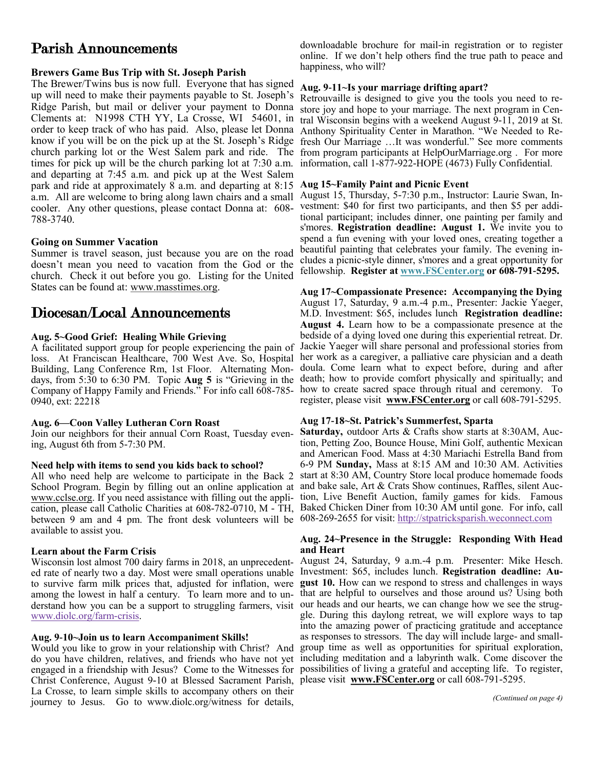# Parish Announcements

#### **Brewers Game Bus Trip with St. Joseph Parish**

The Brewer/Twins bus is now full. Everyone that has signed up will need to make their payments payable to St. Joseph's Ridge Parish, but mail or deliver your payment to Donna Clements at: N1998 CTH YY, La Crosse, WI 54601, in order to keep track of who has paid. Also, please let Donna times for pick up will be the church parking lot at 7:30 a.m. and departing at 7:45 a.m. and pick up at the West Salem park and ride at approximately 8 a.m. and departing at 8:15 **Aug 15~Family Paint and Picnic Event** a.m. All are welcome to bring along lawn chairs and a small August 15, Thursday, 5-7:30 p.m., Instructor: Laurie Swan, Incooler. Any other questions, please contact Donna at: 608- 788-3740.

#### **Going on Summer Vacation**

Summer is travel season, just because you are on the road doesn't mean you need to vacation from the God or the church. Check it out before you go. Listing for the United States can be found at: [www.masstimes.org.](http://www.masstimes.org) 

# Diocesan/Local Announcements

#### **Aug. 5~Good Grief: Healing While Grieving**

A facilitated support group for people experiencing the pain of loss. At Franciscan Healthcare, 700 West Ave. So, Hospital Building, Lang Conference Rm, 1st Floor. Alternating Mondays, from 5:30 to 6:30 PM. Topic **Aug 5** is "Grieving in the death; how to provide comfort physically and spiritually; and Company of Happy Family and Friends." For info call 608-785- 0940, ext: 22218

#### **Aug. 6—Coon Valley Lutheran Corn Roast**

Join our neighbors for their annual Corn Roast, Tuesday evening, August 6th from 5-7:30 PM.

#### **Need help with items to send you kids back to school?**

All who need help are welcome to participate in the Back 2 School Program. Begin by filling out an online application at [www.cclse.org.](http://r20.rs6.net/tn.jsp?f=001vP1yTA1agDHitANuh50h6F4GH43jx5xzlxmwHCSotIevVTZuiG_srM59P56kitcrR0UIPFVZojivHC4ZtBqtvqz2Rp3TpCjzrbf_15gz2oksNlGf4xhjM9oEZDuBHK6m4o9nrGGkDcoJZ1Fu51M_BraGg8rz7sdTq_O-kgsYcRhIanm8HEMcsp61waA7cIdAQpm87c46Pg_LpWiNJY1YMgEbe6O9LrQJ55XF) If you need assistance with filling out the applibetween 9 am and 4 pm. The front desk volunteers will be 608-269-2655 for visit:<http://stpatricksparish.weconnect.com> available to assist you.

#### **Learn about the Farm Crisis**

Wisconsin lost almost 700 dairy farms in 2018, an unprecedented rate of nearly two a day. Most were small operations unable to survive farm milk prices that, adjusted for inflation, were derstand how you can be a support to struggling farmers, visit our heads and our hearts, we can change how we see the strug[www.diolc.org/farm-crisis.](http://www.diolc.org/farm-crisis)

#### **Aug. 9-10~Join us to learn Accompaniment Skills!**

Would you like to grow in your relationship with Christ? And do you have children, relatives, and friends who have not yet Christ Conference, August 9-10 at Blessed Sacrament Parish, please visit **[www.FSCenter.org](http://r20.rs6.net/tn.jsp?f=001Cafsmeqaa7vF-LUgrihplraETCmER9bYamC1vf7aiYr2TVi5QEjAkB5BoaEcRs7U872OibLEGqiS97FbopqUXVJHjh_p6lxaVNGPq1dgYbBtgPwUMXyYtu6iB080i3Jv1NsXs0Fe286IFIz0-Ukd23OMbNNbPwxRLUcKG0PkU2Y=&c=-3e_goaryjI7R_OvQtNEResQsm0GcCF2Wv1smdgYAeqcZ6yLAhnOR)** or call 608-791-5295. La Crosse, to learn simple skills to accompany others on their journey to Jesus. Go to www.diolc.org/witness for details,

downloadable brochure for mail-in registration or to register online. If we don't help others find the true path to peace and happiness, who will?

#### **Aug. 9-11~Is your marriage drifting apart?**

know if you will be on the pick up at the St. Joseph's Ridge fresh Our Marriage …It was wonderful." See more comments church parking lot or the West Salem park and ride. The from program participants at HelpOurMarriage.org . For more Retrouvaille is designed to give you the tools you need to restore joy and hope to your marriage. The next program in Central Wisconsin begins with a weekend August 9-11, 2019 at St. Anthony Spirituality Center in Marathon. "We Needed to Reinformation, call 1-877-922-HOPE (4673) Fully Confidential.

vestment: \$40 for first two participants, and then \$5 per additional participant; includes dinner, one painting per family and s'mores. **Registration deadline: August 1.** We invite you to spend a fun evening with your loved ones, creating together a beautiful painting that celebrates your family. The evening includes a picnic-style dinner, s'mores and a great opportunity for fellowship. **Register at [www.FSCenter.org](http://r20.rs6.net/tn.jsp?f=001fytws6KL0KcvwGoJJPs5rM-9E6uXtwpPlCHy5i676mSDoKi-jhjG88_vMltG6rhz9vJX9IVJsCauAasNu0qe9TP4yDXAWsLOouy6xTXrJIhEufZRl7bYZJCweL8R8Xyntf_uCrvxfYCCpbNInSqScPFf8DFxqiLqvBDmmLkh1rI=&c=WOU57NUzF0N1954ixslnJZRCc6wDlvoicnlU_LMkb8e7RdSrorYzN) or 608-791-5295.**

**Aug 17~Compassionate Presence: Accompanying the Dying** August 17, Saturday, 9 a.m.-4 p.m., Presenter: Jackie Yaeger, M.D. Investment: \$65, includes lunch **Registration deadline: August 4.** Learn how to be a compassionate presence at the bedside of a dying loved one during this experiential retreat. Dr. Jackie Yaeger will share personal and professional stories from her work as a caregiver, a palliative care physician and a death doula. Come learn what to expect before, during and after how to create sacred space through ritual and ceremony. To register, please visit **[www.FSCenter.org](http://r20.rs6.net/tn.jsp?f=001uCjn3rl6rdryZeb0vAlJnbDBATt9Lt4MGvizVdNz8n4obmSFP4QsOHix8sW-LU0kb57RyW9Yem4sIwQ6v8y7I0CCbZaqhBYPPFY_pVlLfIna8U-4l3Gky-jpyCRbN044bEbNWqhjWgVZMo_M-49u4-XZLI0Buu0q5g5A1XZ4yF0=&c=7KL7W0vZjD5-jdZ2oVYUBcpvD1OkO79dcwe-HgWZd-enFXhL1k_rJ)** or call 608-791-5295.

#### **Aug 17-18~St. Patrick's Summerfest, Sparta**

cation, please call Catholic Charities at 608-782-0710, M - TH, Baked Chicken Diner from 10:30 AM until gone. For info, call **Saturday,** outdoor Arts & Crafts show starts at 8:30AM, Auction, Petting Zoo, Bounce House, Mini Golf, authentic Mexican and American Food. Mass at 4:30 Mariachi Estrella Band from 6-9 PM **Sunday,** Mass at 8:15 AM and 10:30 AM. Activities start at 8:30 AM, Country Store local produce homemade foods and bake sale, Art & Crats Show continues, Raffles, silent Auction, Live Benefit Auction, family games for kids. Famous

#### **Aug. 24~Presence in the Struggle: Responding With Head and Heart**

among the lowest in half a century. To learn more and to un-that are helpful to ourselves and those around us? Using both engaged in a friendship with Jesus? Come to the Witnesses for possibilities of living a grateful and accepting life. To register, August 24, Saturday, 9 a.m.-4 p.m. Presenter: Mike Hesch. Investment: \$65, includes lunch. **Registration deadline: August 10.** How can we respond to stress and challenges in ways gle. During this daylong retreat, we will explore ways to tap into the amazing power of practicing gratitude and acceptance as responses to stressors. The day will include large- and smallgroup time as well as opportunities for spiritual exploration, including meditation and a labyrinth walk. Come discover the